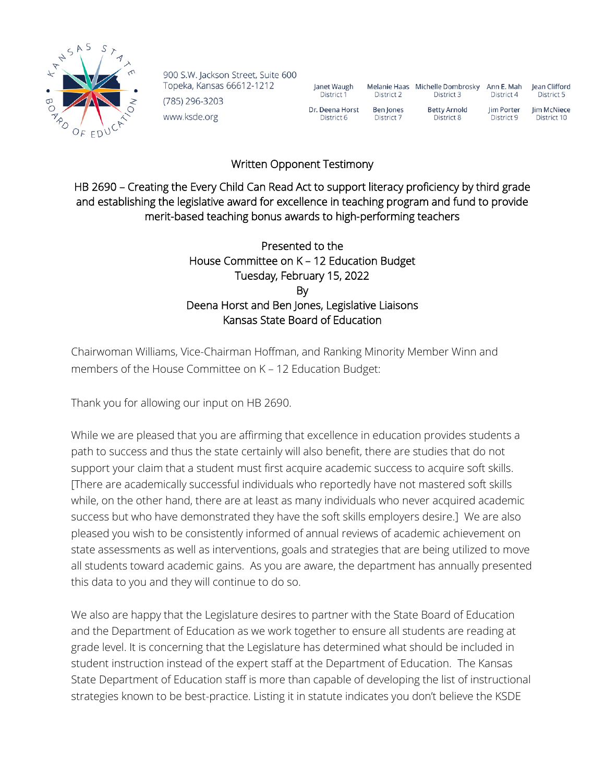

900 S.W. Jackson Street, Suite 600 Topeka, Kansas 66612-1212 (785) 296-3203 www.ksde.org

| Janet Waugh     | Melanie Haas | Michelle Dombrosky  | Ann E. Mah | lean Clifford |
|-----------------|--------------|---------------------|------------|---------------|
| District 1      | District 2   | District 3          | District 4 | District 5    |
| Dr. Deena Horst | Ben Jones    | <b>Betty Arnold</b> | lim Porter | Jim McNiece   |
| District 6      | District 7   | District 8          | District 9 | District 10   |

## Written Opponent Testimony

HB 2690 – Creating the Every Child Can Read Act to support literacy proficiency by third grade and establishing the legislative award for excellence in teaching program and fund to provide merit-based teaching bonus awards to high-performing teachers

## Presented to the House Committee on K – 12 Education Budget Tuesday, February 15, 2022 By Deena Horst and Ben Jones, Legislative Liaisons Kansas State Board of Education

Chairwoman Williams, Vice-Chairman Hoffman, and Ranking Minority Member Winn and members of the House Committee on K – 12 Education Budget:

Thank you for allowing our input on HB 2690.

While we are pleased that you are affirming that excellence in education provides students a path to success and thus the state certainly will also benefit, there are studies that do not support your claim that a student must first acquire academic success to acquire soft skills. [There are academically successful individuals who reportedly have not mastered soft skills while, on the other hand, there are at least as many individuals who never acquired academic success but who have demonstrated they have the soft skills employers desire.] We are also pleased you wish to be consistently informed of annual reviews of academic achievement on state assessments as well as interventions, goals and strategies that are being utilized to move all students toward academic gains. As you are aware, the department has annually presented this data to you and they will continue to do so.

We also are happy that the Legislature desires to partner with the State Board of Education and the Department of Education as we work together to ensure all students are reading at grade level. It is concerning that the Legislature has determined what should be included in student instruction instead of the expert staff at the Department of Education. The Kansas State Department of Education staff is more than capable of developing the list of instructional strategies known to be best-practice. Listing it in statute indicates you don't believe the KSDE